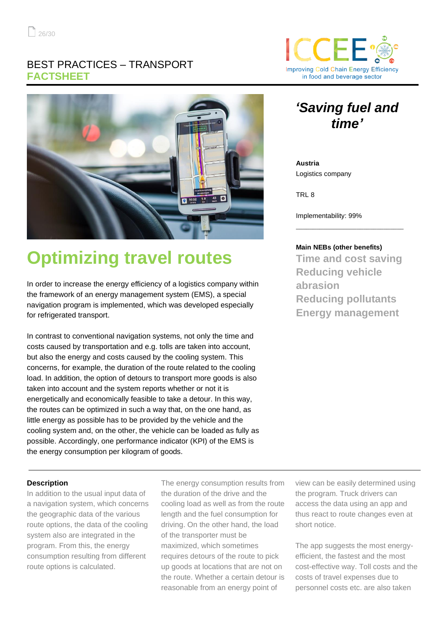### BEST PRACTICES – TRANSPORT **FACTSHEET**



# **Optimizing travel routes**

In order to increase the energy efficiency of a logistics company within the framework of an energy management system (EMS), a special navigation program is implemented, which was developed especially for refrigerated transport.

In contrast to conventional navigation systems, not only the time and costs caused by transportation and e.g. tolls are taken into account, but also the energy and costs caused by the cooling system. This concerns, for example, the duration of the route related to the cooling load. In addition, the option of detours to transport more goods is also taken into account and the system reports whether or not it is energetically and economically feasible to take a detour. In this way, the routes can be optimized in such a way that, on the one hand, as little energy as possible has to be provided by the vehicle and the cooling system and, on the other, the vehicle can be loaded as fully as possible. Accordingly, one performance indicator (KPI) of the EMS is the energy consumption per kilogram of goods.

#### **Description**

In addition to the usual input data of a navigation system, which concerns the geographic data of the various route options, the data of the cooling system also are integrated in the program. From this, the energy consumption resulting from different route options is calculated.

The energy consumption results from the duration of the drive and the cooling load as well as from the route length and the fuel consumption for driving. On the other hand, the load of the transporter must be maximized, which sometimes requires detours of the route to pick up goods at locations that are not on the route. Whether a certain detour is reasonable from an energy point of

view can be easily determined using the program. Truck drivers can access the data using an app and thus react to route changes even at short notice.

The app suggests the most energyefficient, the fastest and the most cost-effective way. Toll costs and the costs of travel expenses due to personnel costs etc. are also taken



## *'Saving fuel and time'*

**Austria** Logistics company

TRL 8

Implementability: 99%

#### **Main NEBs (other benefits)**

**Time and cost saving Reducing vehicle abrasion Reducing pollutants Energy management**

\_\_\_\_\_\_\_\_\_\_\_\_\_\_\_\_\_\_\_\_\_\_\_\_\_\_\_\_\_\_\_\_